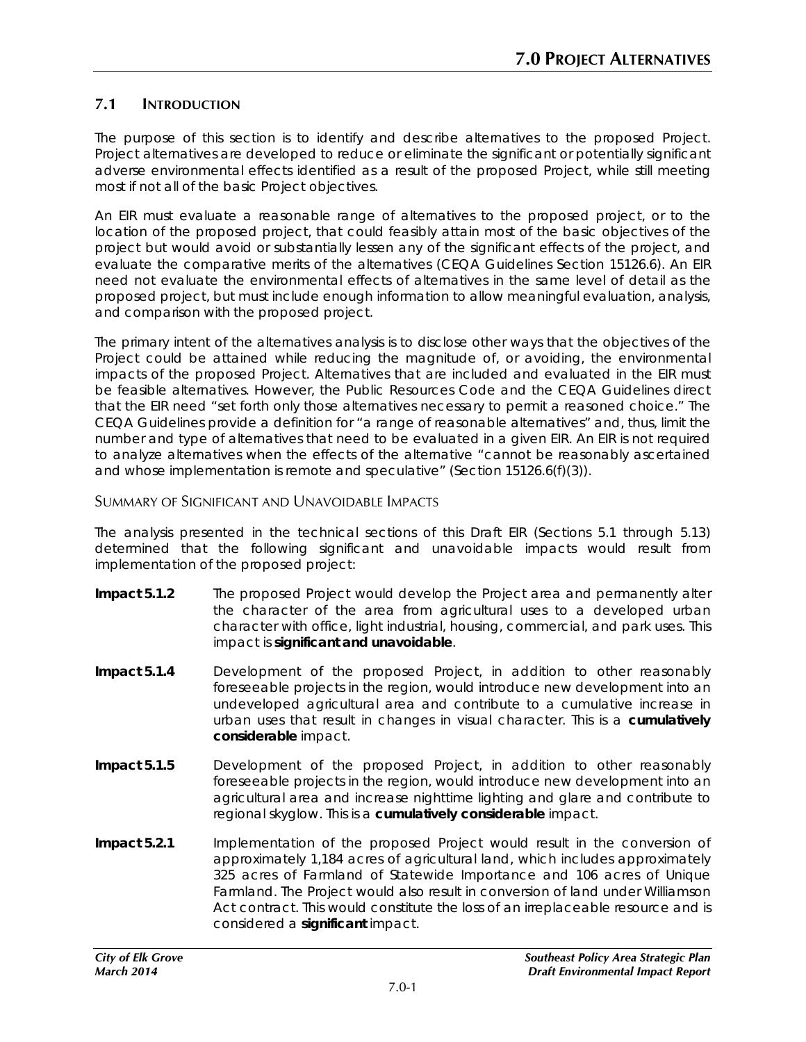# **7.1 INTRODUCTION**

The purpose of this section is to identify and describe alternatives to the proposed Project. Project alternatives are developed to reduce or eliminate the significant or potentially significant adverse environmental effects identified as a result of the proposed Project, while still meeting most if not all of the basic Project objectives.

An EIR must evaluate a reasonable range of alternatives to the proposed project, or to the location of the proposed project, that could feasibly attain most of the basic objectives of the project but would avoid or substantially lessen any of the significant effects of the project, and evaluate the comparative merits of the alternatives (CEQA Guidelines Section 15126.6). An EIR need not evaluate the environmental effects of alternatives in the same level of detail as the proposed project, but must include enough information to allow meaningful evaluation, analysis, and comparison with the proposed project.

The primary intent of the alternatives analysis is to disclose other ways that the objectives of the Project could be attained while reducing the magnitude of, or avoiding, the environmental impacts of the proposed Project. Alternatives that are included and evaluated in the EIR must be feasible alternatives. However, the Public Resources Code and the CEQA Guidelines direct that the EIR need "set forth only those alternatives necessary to permit a reasoned choice." The CEQA Guidelines provide a definition for "a range of reasonable alternatives" and, thus, limit the number and type of alternatives that need to be evaluated in a given EIR. An EIR is not required to analyze alternatives when the effects of the alternative "cannot be reasonably ascertained and whose implementation is remote and speculative" (Section 15126.6(f)(3)).

#### SUMMARY OF SIGNIFICANT AND UNAVOIDABLE IMPACTS

The analysis presented in the technical sections of this Draft EIR (Sections 5.1 through 5.13) determined that the following significant and unavoidable impacts would result from implementation of the proposed project:

- **Impact 5.1.2** The proposed Project would develop the Project area and permanently alter the character of the area from agricultural uses to a developed urban character with office, light industrial, housing, commercial, and park uses. This impact is **significant and unavoidable**.
- **Impact 5.1.4** Development of the proposed Project, in addition to other reasonably foreseeable projects in the region, would introduce new development into an undeveloped agricultural area and contribute to a cumulative increase in urban uses that result in changes in visual character. This is a **cumulatively considerable** impact.
- **Impact 5.1.5** Development of the proposed Project, in addition to other reasonably foreseeable projects in the region, would introduce new development into an agricultural area and increase nighttime lighting and glare and contribute to regional skyglow. This is a **cumulatively considerable** impact.
- **Impact 5.2.1** Implementation of the proposed Project would result in the conversion of approximately 1,184 acres of agricultural land, which includes approximately 325 acres of Farmland of Statewide Importance and 106 acres of Unique Farmland. The Project would also result in conversion of land under Williamson Act contract. This would constitute the loss of an irreplaceable resource and is considered a **significant** impact.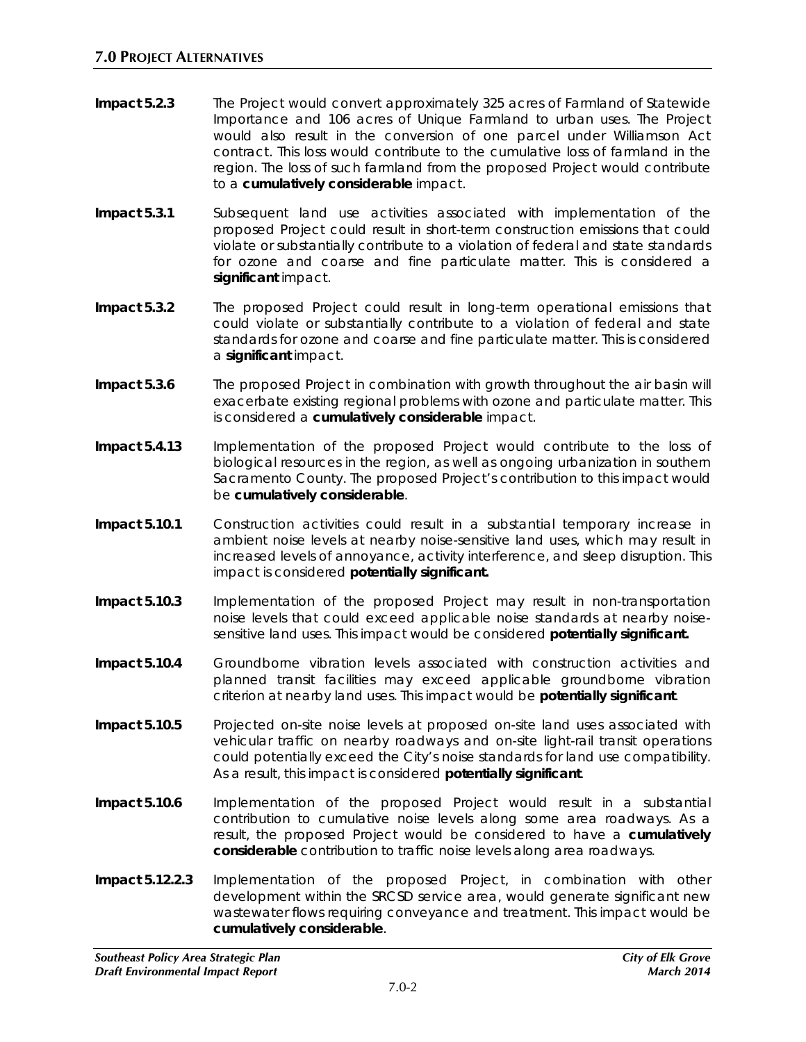- **Impact 5.2.3** The Project would convert approximately 325 acres of Farmland of Statewide Importance and 106 acres of Unique Farmland to urban uses. The Project would also result in the conversion of one parcel under Williamson Act contract. This loss would contribute to the cumulative loss of farmland in the region. The loss of such farmland from the proposed Project would contribute to a **cumulatively considerable** impact.
- **Impact 5.3.1** Subsequent land use activities associated with implementation of the proposed Project could result in short-term construction emissions that could violate or substantially contribute to a violation of federal and state standards for ozone and coarse and fine particulate matter. This is considered a **significant** impact.
- **Impact 5.3.2** The proposed Project could result in long-term operational emissions that could violate or substantially contribute to a violation of federal and state standards for ozone and coarse and fine particulate matter. This is considered a **significant** impact.
- **Impact 5.3.6** The proposed Project in combination with growth throughout the air basin will exacerbate existing regional problems with ozone and particulate matter. This is considered a **cumulatively considerable** impact.
- **Impact 5.4.13** Implementation of the proposed Project would contribute to the loss of biological resources in the region, as well as ongoing urbanization in southern Sacramento County. The proposed Project's contribution to this impact would be **cumulatively considerable**.
- **Impact 5.10.1** Construction activities could result in a substantial temporary increase in ambient noise levels at nearby noise-sensitive land uses, which may result in increased levels of annoyance, activity interference, and sleep disruption. This impact is considered **potentially significant.**
- **Impact 5.10.3** Implementation of the proposed Project may result in non-transportation noise levels that could exceed applicable noise standards at nearby noisesensitive land uses. This impact would be considered **potentially significant.**
- **Impact 5.10.4** Groundborne vibration levels associated with construction activities and planned transit facilities may exceed applicable groundborne vibration criterion at nearby land uses. This impact would be **potentially significant**.
- **Impact 5.10.5** Projected on-site noise levels at proposed on-site land uses associated with vehicular traffic on nearby roadways and on-site light-rail transit operations could potentially exceed the City's noise standards for land use compatibility. As a result, this impact is considered **potentially significant**.
- **Impact 5.10.6** Implementation of the proposed Project would result in a substantial contribution to cumulative noise levels along some area roadways. As a result, the proposed Project would be considered to have a **cumulatively considerable** contribution to traffic noise levels along area roadways.
- **Impact 5.12.2.3** Implementation of the proposed Project, in combination with other development within the SRCSD service area, would generate significant new wastewater flows requiring conveyance and treatment. This impact would be **cumulatively considerable**.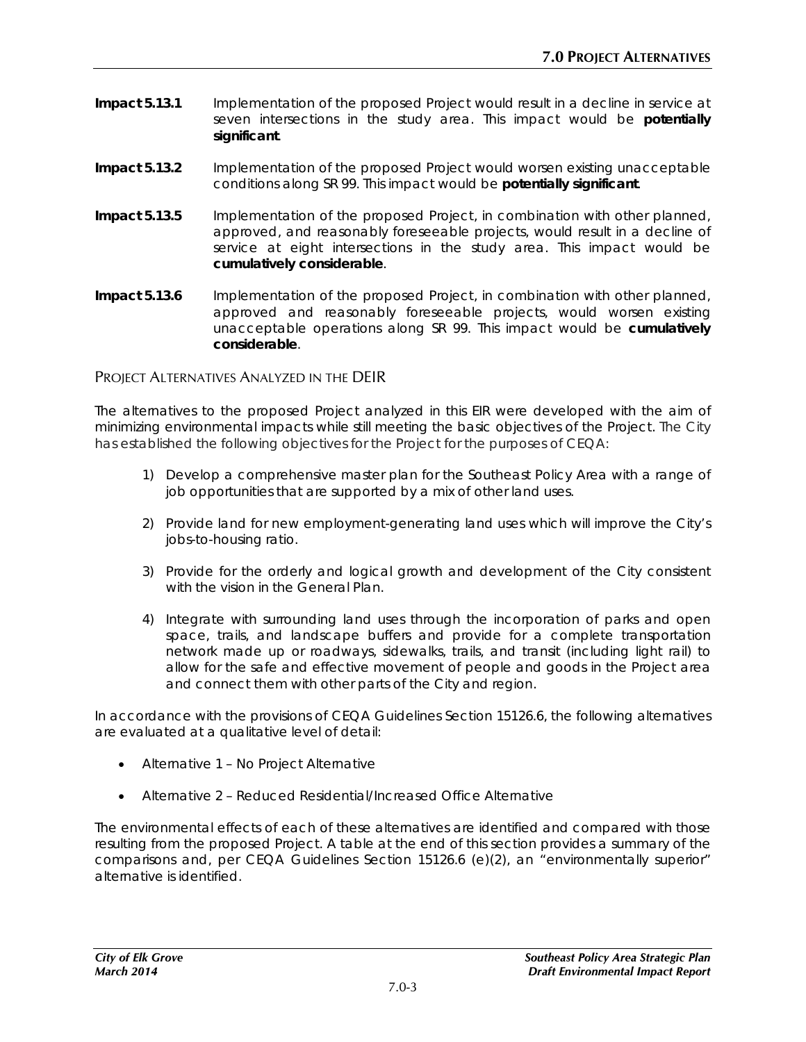- **Impact 5.13.1** Implementation of the proposed Project would result in a decline in service at seven intersections in the study area. This impact would be **potentially significant**.
- **Impact 5.13.2** Implementation of the proposed Project would worsen existing unacceptable conditions along SR 99. This impact would be **potentially significant**.
- **Impact 5.13.5** Implementation of the proposed Project, in combination with other planned, approved, and reasonably foreseeable projects, would result in a decline of service at eight intersections in the study area. This impact would be **cumulatively considerable**.
- **Impact 5.13.6** Implementation of the proposed Project, in combination with other planned, approved and reasonably foreseeable projects, would worsen existing unacceptable operations along SR 99. This impact would be **cumulatively considerable**.

PROJECT ALTERNATIVES ANALYZED IN THE DEIR

The alternatives to the proposed Project analyzed in this EIR were developed with the aim of minimizing environmental impacts while still meeting the basic objectives of the Project. The City has established the following objectives for the Project for the purposes of CEQA:

- 1) Develop a comprehensive master plan for the Southeast Policy Area with a range of job opportunities that are supported by a mix of other land uses.
- 2) Provide land for new employment-generating land uses which will improve the City's jobs-to-housing ratio.
- 3) Provide for the orderly and logical growth and development of the City consistent with the vision in the General Plan.
- 4) Integrate with surrounding land uses through the incorporation of parks and open space, trails, and landscape buffers and provide for a complete transportation network made up or roadways, sidewalks, trails, and transit (including light rail) to allow for the safe and effective movement of people and goods in the Project area and connect them with other parts of the City and region.

In accordance with the provisions of CEQA Guidelines Section 15126.6, the following alternatives are evaluated at a qualitative level of detail:

- Alternative 1 No Project Alternative
- Alternative 2 Reduced Residential/Increased Office Alternative

The environmental effects of each of these alternatives are identified and compared with those resulting from the proposed Project. A table at the end of this section provides a summary of the comparisons and, per CEQA Guidelines Section 15126.6 (e)(2), an "environmentally superior" alternative is identified.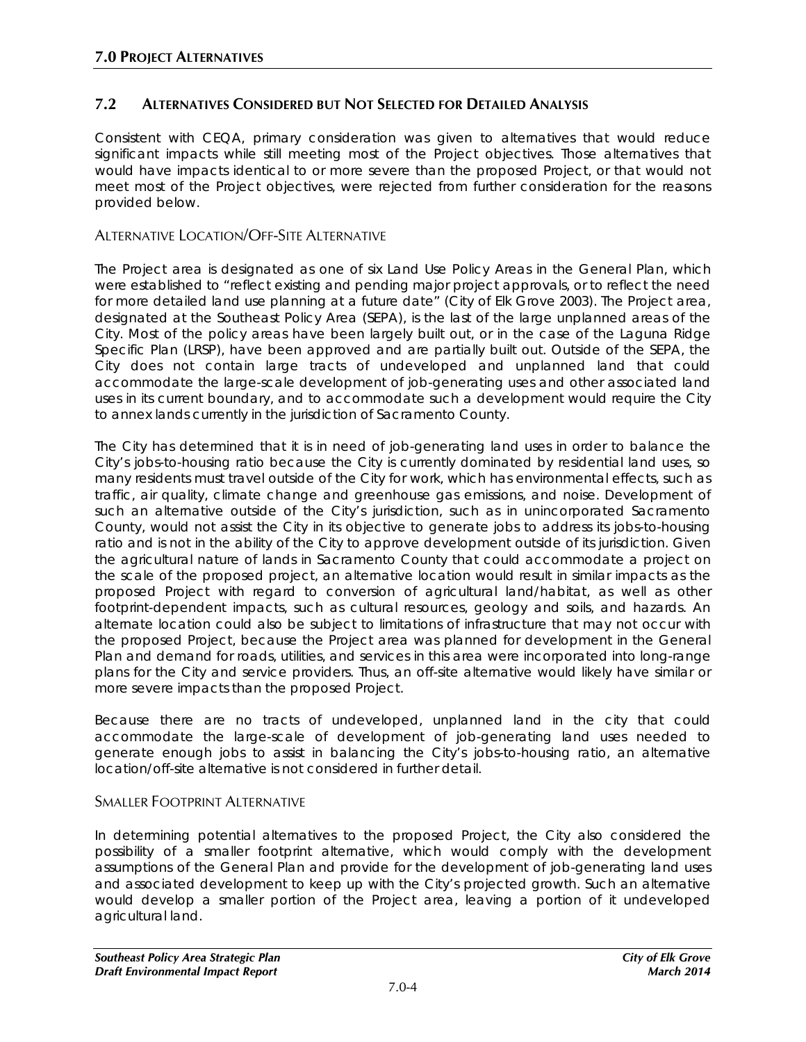### **7.2 ALTERNATIVES CONSIDERED BUT NOT SELECTED FOR DETAILED ANALYSIS**

Consistent with CEQA, primary consideration was given to alternatives that would reduce significant impacts while still meeting most of the Project objectives. Those alternatives that would have impacts identical to or more severe than the proposed Project, or that would not meet most of the Project objectives, were rejected from further consideration for the reasons provided below.

#### ALTERNATIVE LOCATION/OFF-SITE ALTERNATIVE

The Project area is designated as one of six Land Use Policy Areas in the General Plan, which were established to "reflect existing and pending major project approvals, or to reflect the need for more detailed land use planning at a future date" (City of Elk Grove 2003). The Project area, designated at the Southeast Policy Area (SEPA), is the last of the large unplanned areas of the City. Most of the policy areas have been largely built out, or in the case of the Laguna Ridge Specific Plan (LRSP), have been approved and are partially built out. Outside of the SEPA, the City does not contain large tracts of undeveloped and unplanned land that could accommodate the large-scale development of job-generating uses and other associated land uses in its current boundary, and to accommodate such a development would require the City to annex lands currently in the jurisdiction of Sacramento County.

The City has determined that it is in need of job-generating land uses in order to balance the City's jobs-to-housing ratio because the City is currently dominated by residential land uses, so many residents must travel outside of the City for work, which has environmental effects, such as traffic, air quality, climate change and greenhouse gas emissions, and noise. Development of such an alternative outside of the City's jurisdiction, such as in unincorporated Sacramento County, would not assist the City in its objective to generate jobs to address its jobs-to-housing ratio and is not in the ability of the City to approve development outside of its jurisdiction. Given the agricultural nature of lands in Sacramento County that could accommodate a project on the scale of the proposed project, an alternative location would result in similar impacts as the proposed Project with regard to conversion of agricultural land/habitat, as well as other footprint-dependent impacts, such as cultural resources, geology and soils, and hazards. An alternate location could also be subject to limitations of infrastructure that may not occur with the proposed Project, because the Project area was planned for development in the General Plan and demand for roads, utilities, and services in this area were incorporated into long-range plans for the City and service providers. Thus, an off-site alternative would likely have similar or more severe impacts than the proposed Project.

Because there are no tracts of undeveloped, unplanned land in the city that could accommodate the large-scale of development of job-generating land uses needed to generate enough jobs to assist in balancing the City's jobs-to-housing ratio, an alternative location/off-site alternative is not considered in further detail.

#### SMALLER FOOTPRINT ALTERNATIVE

In determining potential alternatives to the proposed Project, the City also considered the possibility of a smaller footprint alternative, which would comply with the development assumptions of the General Plan and provide for the development of job-generating land uses and associated development to keep up with the City's projected growth. Such an alternative would develop a smaller portion of the Project area, leaving a portion of it undeveloped agricultural land.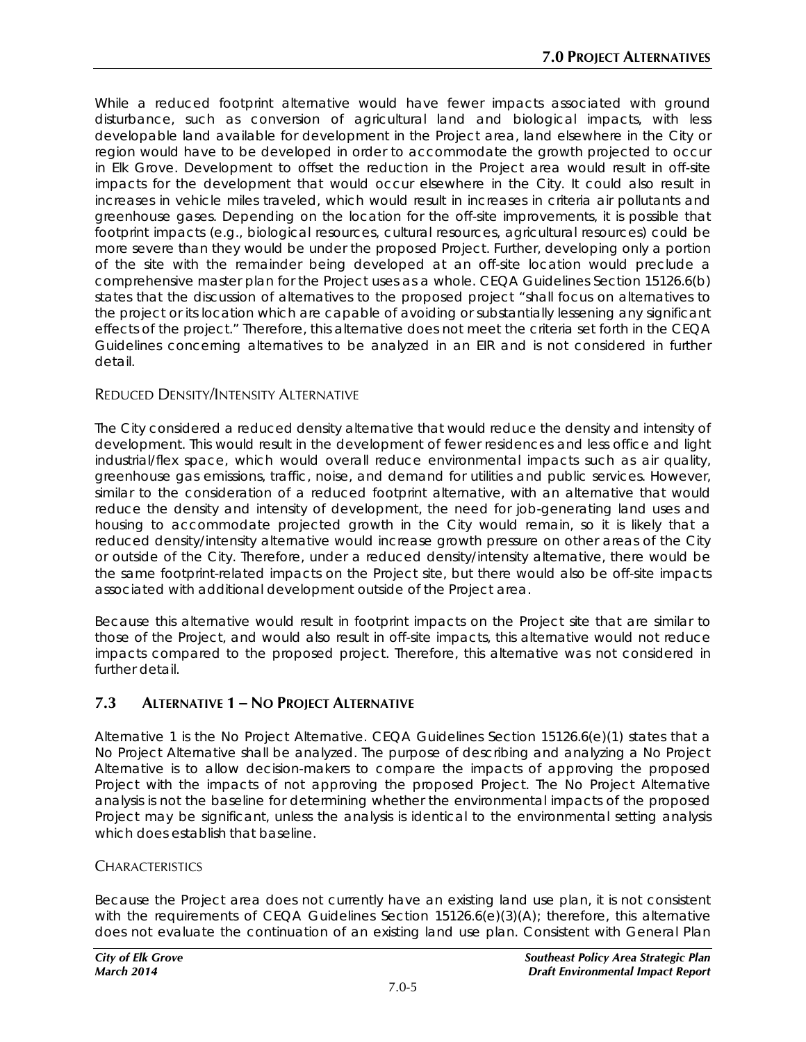While a reduced footprint alternative would have fewer impacts associated with ground disturbance, such as conversion of agricultural land and biological impacts, with less developable land available for development in the Project area, land elsewhere in the City or region would have to be developed in order to accommodate the growth projected to occur in Elk Grove. Development to offset the reduction in the Project area would result in off-site impacts for the development that would occur elsewhere in the City. It could also result in increases in vehicle miles traveled, which would result in increases in criteria air pollutants and greenhouse gases. Depending on the location for the off-site improvements, it is possible that footprint impacts (e.g., biological resources, cultural resources, agricultural resources) could be more severe than they would be under the proposed Project. Further, developing only a portion of the site with the remainder being developed at an off-site location would preclude a comprehensive master plan for the Project uses as a whole. CEQA Guidelines Section 15126.6(b) states that the discussion of alternatives to the proposed project "shall focus on alternatives to the project or its location which are capable of avoiding or substantially lessening any significant effects of the project." Therefore, this alternative does not meet the criteria set forth in the CEQA Guidelines concerning alternatives to be analyzed in an EIR and is not considered in further detail.

### REDUCED DENSITY/INTENSITY ALTERNATIVE

The City considered a reduced density alternative that would reduce the density and intensity of development. This would result in the development of fewer residences and less office and light industrial/flex space, which would overall reduce environmental impacts such as air quality, greenhouse gas emissions, traffic, noise, and demand for utilities and public services. However, similar to the consideration of a reduced footprint alternative, with an alternative that would reduce the density and intensity of development, the need for job-generating land uses and housing to accommodate projected growth in the City would remain, so it is likely that a reduced density/intensity alternative would increase growth pressure on other areas of the City or outside of the City. Therefore, under a reduced density/intensity alternative, there would be the same footprint-related impacts on the Project site, but there would also be off-site impacts associated with additional development outside of the Project area.

Because this alternative would result in footprint impacts on the Project site that are similar to those of the Project, and would also result in off-site impacts, this alternative would not reduce impacts compared to the proposed project. Therefore, this alternative was not considered in further detail.

# **7.3 ALTERNATIVE 1 – NO PROJECT ALTERNATIVE**

Alternative 1 is the No Project Alternative. CEQA Guidelines Section 15126.6(e)(1) states that a No Project Alternative shall be analyzed. The purpose of describing and analyzing a No Project Alternative is to allow decision-makers to compare the impacts of approving the proposed Project with the impacts of not approving the proposed Project. The No Project Alternative analysis is not the baseline for determining whether the environmental impacts of the proposed Project may be significant, unless the analysis is identical to the environmental setting analysis which does establish that baseline.

#### **CHARACTERISTICS**

Because the Project area does not currently have an existing land use plan, it is not consistent with the requirements of CEQA Guidelines Section 15126.6(e)(3)(A); therefore, this alternative does not evaluate the continuation of an existing land use plan. Consistent with General Plan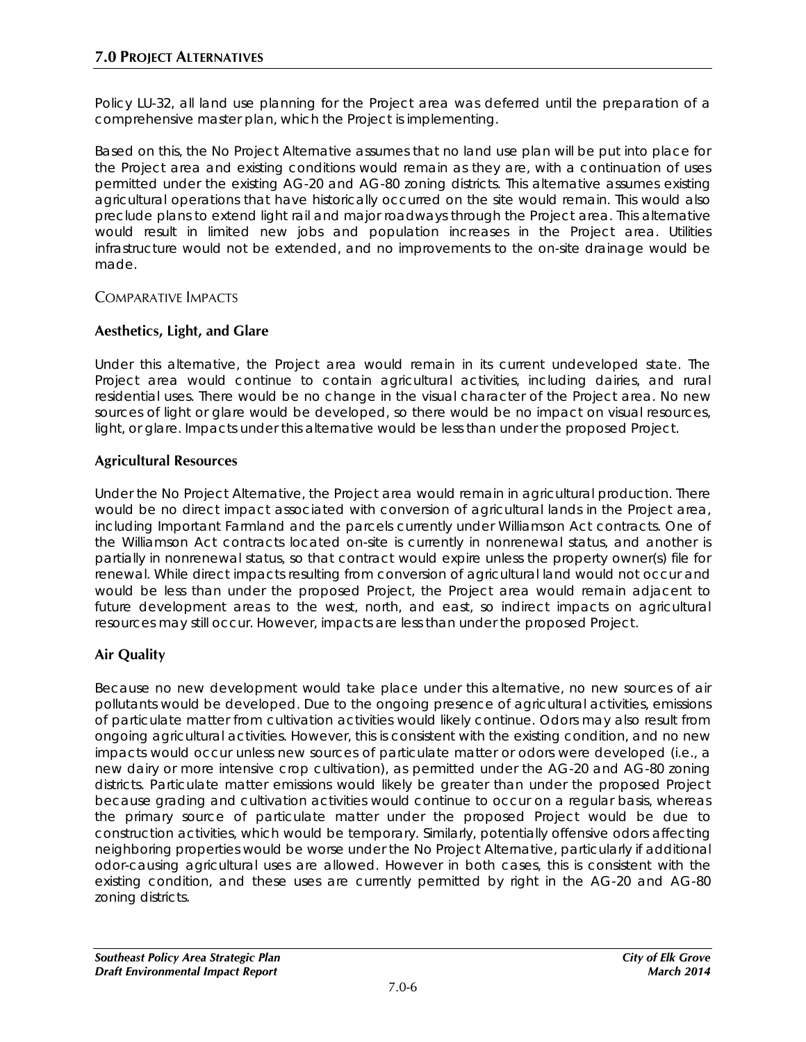Policy LU-32, all land use planning for the Project area was deferred until the preparation of a comprehensive master plan, which the Project is implementing.

Based on this, the No Project Alternative assumes that no land use plan will be put into place for the Project area and existing conditions would remain as they are, with a continuation of uses permitted under the existing AG-20 and AG-80 zoning districts. This alternative assumes existing agricultural operations that have historically occurred on the site would remain. This would also preclude plans to extend light rail and major roadways through the Project area. This alternative would result in limited new jobs and population increases in the Project area. Utilities infrastructure would not be extended, and no improvements to the on-site drainage would be made.

### COMPARATIVE IMPACTS

### **Aesthetics, Light, and Glare**

Under this alternative, the Project area would remain in its current undeveloped state. The Project area would continue to contain agricultural activities, including dairies, and rural residential uses. There would be no change in the visual character of the Project area. No new sources of light or glare would be developed, so there would be no impact on visual resources, light, or glare. Impacts under this alternative would be less than under the proposed Project.

### **Agricultural Resources**

Under the No Project Alternative, the Project area would remain in agricultural production. There would be no direct impact associated with conversion of agricultural lands in the Project area, including Important Farmland and the parcels currently under Williamson Act contracts. One of the Williamson Act contracts located on-site is currently in nonrenewal status, and another is partially in nonrenewal status, so that contract would expire unless the property owner(s) file for renewal. While direct impacts resulting from conversion of agricultural land would not occur and would be less than under the proposed Project, the Project area would remain adjacent to future development areas to the west, north, and east, so indirect impacts on agricultural resources may still occur. However, impacts are less than under the proposed Project.

# **Air Quality**

Because no new development would take place under this alternative, no new sources of air pollutants would be developed. Due to the ongoing presence of agricultural activities, emissions of particulate matter from cultivation activities would likely continue. Odors may also result from ongoing agricultural activities. However, this is consistent with the existing condition, and no new impacts would occur unless new sources of particulate matter or odors were developed (i.e., a new dairy or more intensive crop cultivation), as permitted under the AG-20 and AG-80 zoning districts. Particulate matter emissions would likely be greater than under the proposed Project because grading and cultivation activities would continue to occur on a regular basis, whereas the primary source of particulate matter under the proposed Project would be due to construction activities, which would be temporary. Similarly, potentially offensive odors affecting neighboring properties would be worse under the No Project Alternative, particularly if additional odor-causing agricultural uses are allowed. However in both cases, this is consistent with the existing condition, and these uses are currently permitted by right in the AG-20 and AG-80 zoning districts.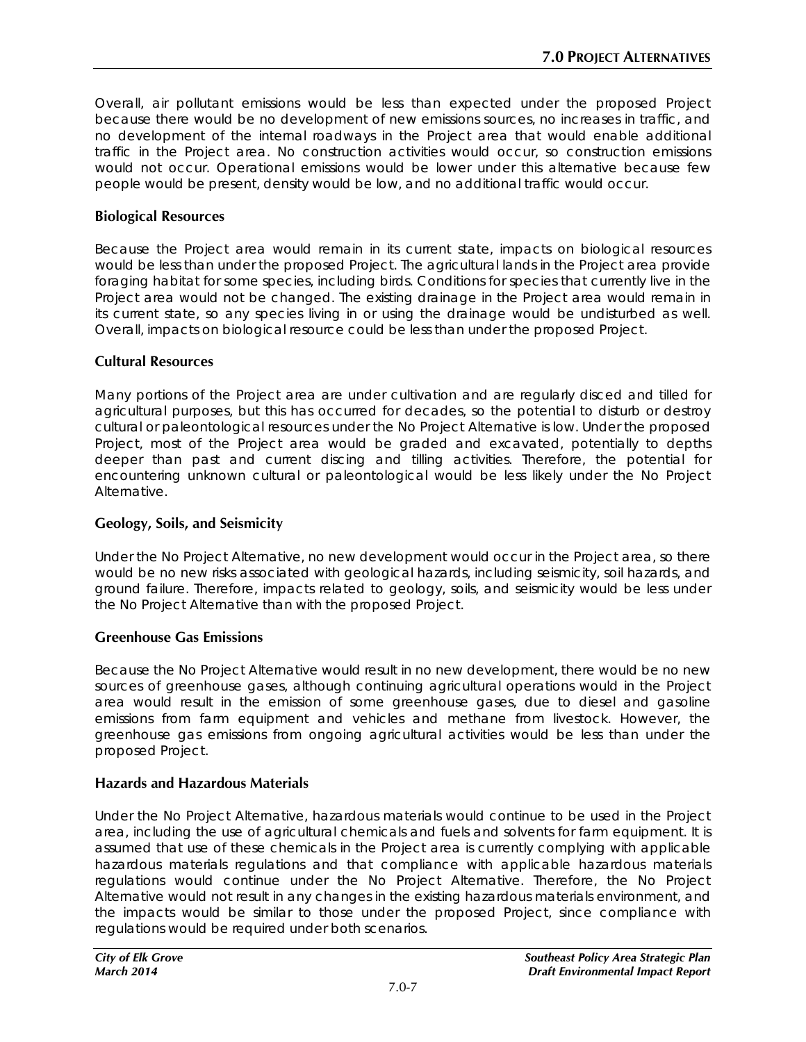Overall, air pollutant emissions would be less than expected under the proposed Project because there would be no development of new emissions sources, no increases in traffic, and no development of the internal roadways in the Project area that would enable additional traffic in the Project area. No construction activities would occur, so construction emissions would not occur. Operational emissions would be lower under this alternative because few people would be present, density would be low, and no additional traffic would occur.

### **Biological Resources**

Because the Project area would remain in its current state, impacts on biological resources would be less than under the proposed Project. The agricultural lands in the Project area provide foraging habitat for some species, including birds. Conditions for species that currently live in the Project area would not be changed. The existing drainage in the Project area would remain in its current state, so any species living in or using the drainage would be undisturbed as well. Overall, impacts on biological resource could be less than under the proposed Project.

#### **Cultural Resources**

Many portions of the Project area are under cultivation and are regularly disced and tilled for agricultural purposes, but this has occurred for decades, so the potential to disturb or destroy cultural or paleontological resources under the No Project Alternative is low. Under the proposed Project, most of the Project area would be graded and excavated, potentially to depths deeper than past and current discing and tilling activities. Therefore, the potential for encountering unknown cultural or paleontological would be less likely under the No Project Alternative.

#### **Geology, Soils, and Seismicity**

Under the No Project Alternative, no new development would occur in the Project area, so there would be no new risks associated with geological hazards, including seismicity, soil hazards, and ground failure. Therefore, impacts related to geology, soils, and seismicity would be less under the No Project Alternative than with the proposed Project.

#### **Greenhouse Gas Emissions**

Because the No Project Alternative would result in no new development, there would be no new sources of greenhouse gases, although continuing agricultural operations would in the Project area would result in the emission of some greenhouse gases, due to diesel and gasoline emissions from farm equipment and vehicles and methane from livestock. However, the greenhouse gas emissions from ongoing agricultural activities would be less than under the proposed Project.

#### **Hazards and Hazardous Materials**

Under the No Project Alternative, hazardous materials would continue to be used in the Project area, including the use of agricultural chemicals and fuels and solvents for farm equipment. It is assumed that use of these chemicals in the Project area is currently complying with applicable hazardous materials regulations and that compliance with applicable hazardous materials regulations would continue under the No Project Alternative. Therefore, the No Project Alternative would not result in any changes in the existing hazardous materials environment, and the impacts would be similar to those under the proposed Project, since compliance with regulations would be required under both scenarios.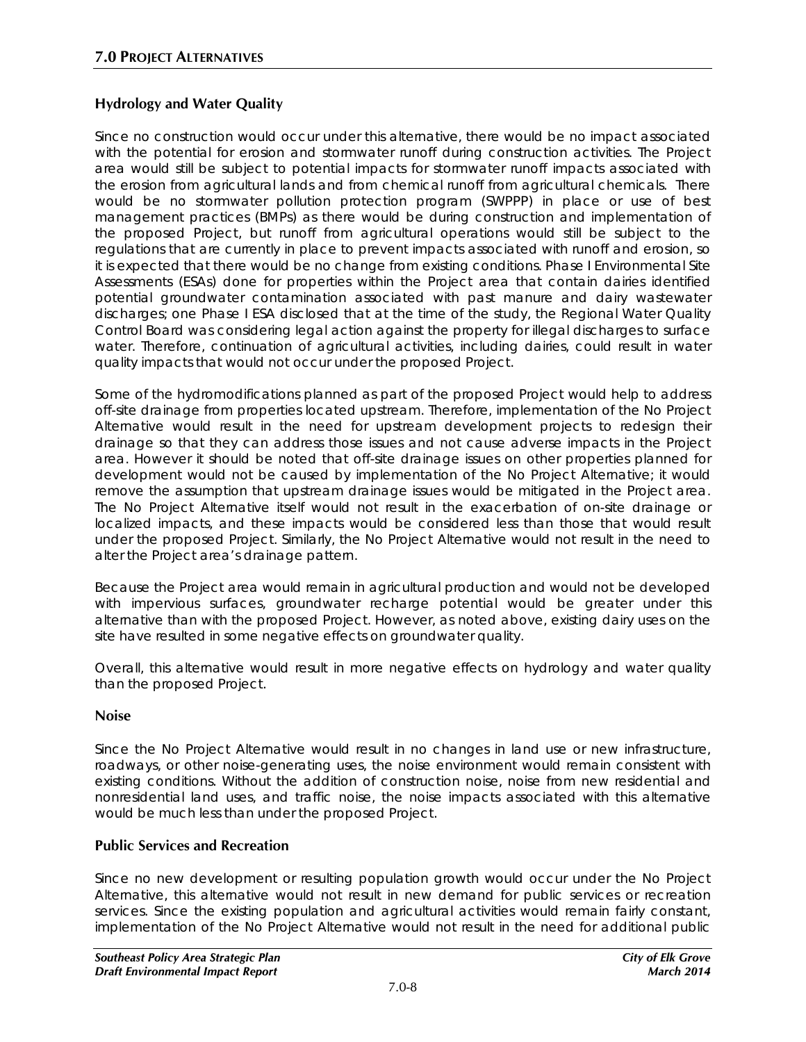# **Hydrology and Water Quality**

Since no construction would occur under this alternative, there would be no impact associated with the potential for erosion and stormwater runoff during construction activities. The Project area would still be subject to potential impacts for stormwater runoff impacts associated with the erosion from agricultural lands and from chemical runoff from agricultural chemicals. There would be no stormwater pollution protection program (SWPPP) in place or use of best management practices (BMPs) as there would be during construction and implementation of the proposed Project, but runoff from agricultural operations would still be subject to the regulations that are currently in place to prevent impacts associated with runoff and erosion, so it is expected that there would be no change from existing conditions. Phase I Environmental Site Assessments (ESAs) done for properties within the Project area that contain dairies identified potential groundwater contamination associated with past manure and dairy wastewater discharges; one Phase I ESA disclosed that at the time of the study, the Regional Water Quality Control Board was considering legal action against the property for illegal discharges to surface water. Therefore, continuation of agricultural activities, including dairies, could result in water quality impacts that would not occur under the proposed Project.

Some of the hydromodifications planned as part of the proposed Project would help to address off-site drainage from properties located upstream. Therefore, implementation of the No Project Alternative would result in the need for upstream development projects to redesign their drainage so that they can address those issues and not cause adverse impacts in the Project area. However it should be noted that off-site drainage issues on other properties planned for development would not be caused by implementation of the No Project Alternative; it would remove the assumption that upstream drainage issues would be mitigated in the Project area. The No Project Alternative itself would not result in the exacerbation of on-site drainage or localized impacts, and these impacts would be considered less than those that would result under the proposed Project. Similarly, the No Project Alternative would not result in the need to alter the Project area's drainage pattern.

Because the Project area would remain in agricultural production and would not be developed with impervious surfaces, groundwater recharge potential would be greater under this alternative than with the proposed Project. However, as noted above, existing dairy uses on the site have resulted in some negative effects on groundwater quality.

Overall, this alternative would result in more negative effects on hydrology and water quality than the proposed Project.

#### **Noise**

Since the No Project Alternative would result in no changes in land use or new infrastructure, roadways, or other noise-generating uses, the noise environment would remain consistent with existing conditions. Without the addition of construction noise, noise from new residential and nonresidential land uses, and traffic noise, the noise impacts associated with this alternative would be much less than under the proposed Project.

# **Public Services and Recreation**

Since no new development or resulting population growth would occur under the No Project Alternative, this alternative would not result in new demand for public services or recreation services. Since the existing population and agricultural activities would remain fairly constant, implementation of the No Project Alternative would not result in the need for additional public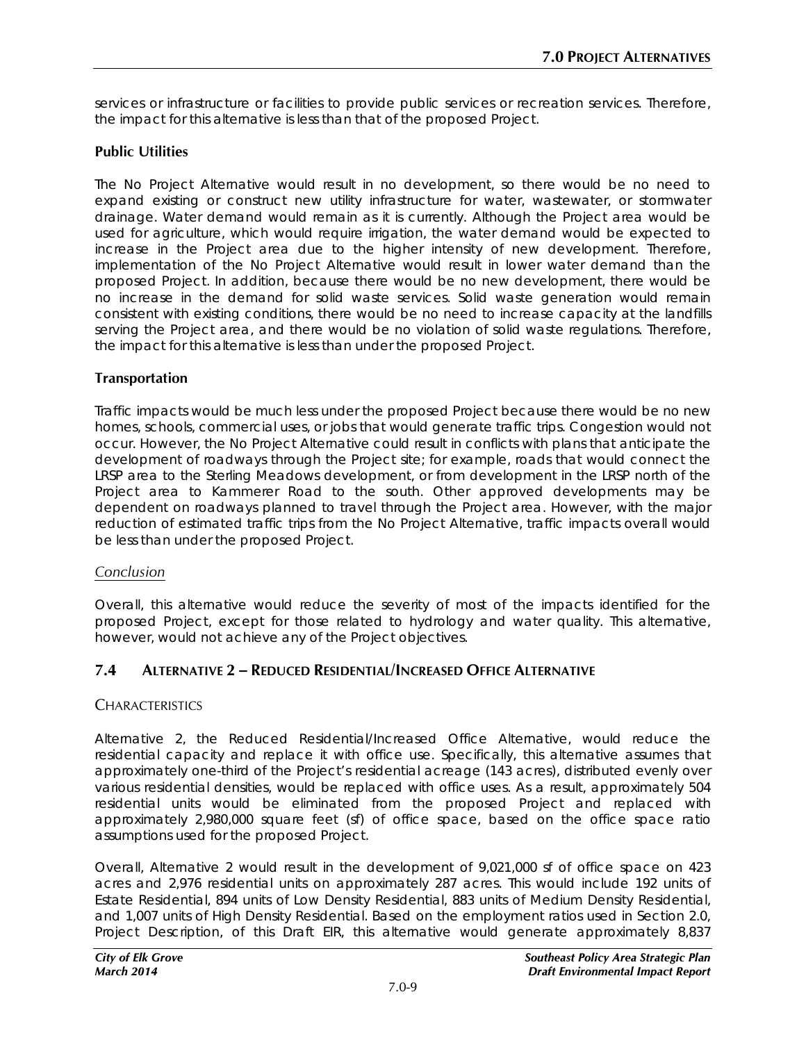services or infrastructure or facilities to provide public services or recreation services. Therefore, the impact for this alternative is less than that of the proposed Project.

### **Public Utilities**

The No Project Alternative would result in no development, so there would be no need to expand existing or construct new utility infrastructure for water, wastewater, or stormwater drainage. Water demand would remain as it is currently. Although the Project area would be used for agriculture, which would require irrigation, the water demand would be expected to increase in the Project area due to the higher intensity of new development. Therefore, implementation of the No Project Alternative would result in lower water demand than the proposed Project. In addition, because there would be no new development, there would be no increase in the demand for solid waste services. Solid waste generation would remain consistent with existing conditions, there would be no need to increase capacity at the landfills serving the Project area, and there would be no violation of solid waste regulations. Therefore, the impact for this alternative is less than under the proposed Project.

#### **Transportation**

Traffic impacts would be much less under the proposed Project because there would be no new homes, schools, commercial uses, or jobs that would generate traffic trips. Congestion would not occur. However, the No Project Alternative could result in conflicts with plans that anticipate the development of roadways through the Project site; for example, roads that would connect the LRSP area to the Sterling Meadows development, or from development in the LRSP north of the Project area to Kammerer Road to the south. Other approved developments may be dependent on roadways planned to travel through the Project area. However, with the major reduction of estimated traffic trips from the No Project Alternative, traffic impacts overall would be less than under the proposed Project.

#### *Conclusion*

Overall, this alternative would reduce the severity of most of the impacts identified for the proposed Project, except for those related to hydrology and water quality. This alternative, however, would not achieve any of the Project objectives.

#### **7.4 ALTERNATIVE 2 – REDUCED RESIDENTIAL/INCREASED OFFICE ALTERNATIVE**

#### **CHARACTERISTICS**

Alternative 2, the Reduced Residential/Increased Office Alternative, would reduce the residential capacity and replace it with office use. Specifically, this alternative assumes that approximately one-third of the Project's residential acreage (143 acres), distributed evenly over various residential densities, would be replaced with office uses. As a result, approximately 504 residential units would be eliminated from the proposed Project and replaced with approximately 2,980,000 square feet (sf) of office space, based on the office space ratio assumptions used for the proposed Project.

Overall, Alternative 2 would result in the development of 9,021,000 sf of office space on 423 acres and 2,976 residential units on approximately 287 acres. This would include 192 units of Estate Residential, 894 units of Low Density Residential, 883 units of Medium Density Residential, and 1,007 units of High Density Residential. Based on the employment ratios used in Section 2.0, Project Description, of this Draft EIR, this alternative would generate approximately 8,837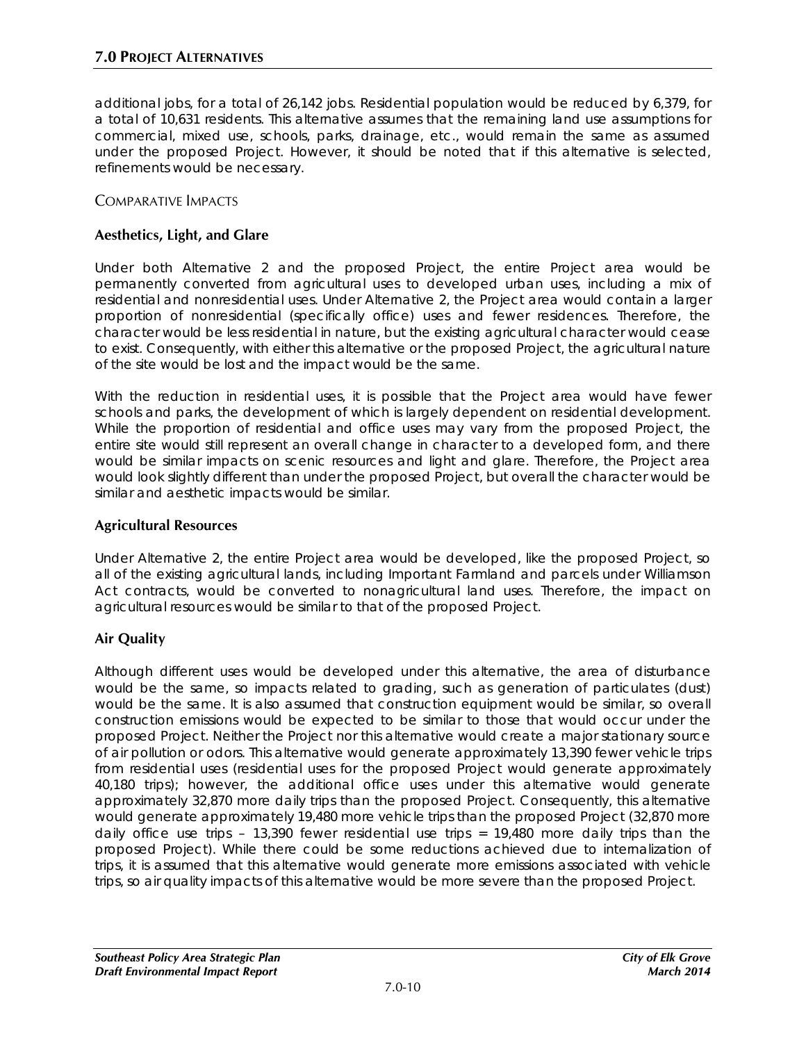additional jobs, for a total of 26,142 jobs. Residential population would be reduced by 6,379, for a total of 10,631 residents. This alternative assumes that the remaining land use assumptions for commercial, mixed use, schools, parks, drainage, etc., would remain the same as assumed under the proposed Project. However, it should be noted that if this alternative is selected, refinements would be necessary.

### COMPARATIVE IMPACTS

### **Aesthetics, Light, and Glare**

Under both Alternative 2 and the proposed Project, the entire Project area would be permanently converted from agricultural uses to developed urban uses, including a mix of residential and nonresidential uses. Under Alternative 2, the Project area would contain a larger proportion of nonresidential (specifically office) uses and fewer residences. Therefore, the character would be less residential in nature, but the existing agricultural character would cease to exist. Consequently, with either this alternative or the proposed Project, the agricultural nature of the site would be lost and the impact would be the same.

With the reduction in residential uses, it is possible that the Project area would have fewer schools and parks, the development of which is largely dependent on residential development. While the proportion of residential and office uses may vary from the proposed Project, the entire site would still represent an overall change in character to a developed form, and there would be similar impacts on scenic resources and light and glare. Therefore, the Project area would look slightly different than under the proposed Project, but overall the character would be similar and aesthetic impacts would be similar.

#### **Agricultural Resources**

Under Alternative 2, the entire Project area would be developed, like the proposed Project, so all of the existing agricultural lands, including Important Farmland and parcels under Williamson Act contracts, would be converted to nonagricultural land uses. Therefore, the impact on agricultural resources would be similar to that of the proposed Project.

# **Air Quality**

Although different uses would be developed under this alternative, the area of disturbance would be the same, so impacts related to grading, such as generation of particulates (dust) would be the same. It is also assumed that construction equipment would be similar, so overall construction emissions would be expected to be similar to those that would occur under the proposed Project. Neither the Project nor this alternative would create a major stationary source of air pollution or odors. This alternative would generate approximately 13,390 fewer vehicle trips from residential uses (residential uses for the proposed Project would generate approximately 40,180 trips); however, the additional office uses under this alternative would generate approximately 32,870 more daily trips than the proposed Project. Consequently, this alternative would generate approximately 19,480 more vehicle trips than the proposed Project (32,870 more daily office use trips  $-13,390$  fewer residential use trips = 19,480 more daily trips than the proposed Project). While there could be some reductions achieved due to internalization of trips, it is assumed that this alternative would generate more emissions associated with vehicle trips, so air quality impacts of this alternative would be more severe than the proposed Project.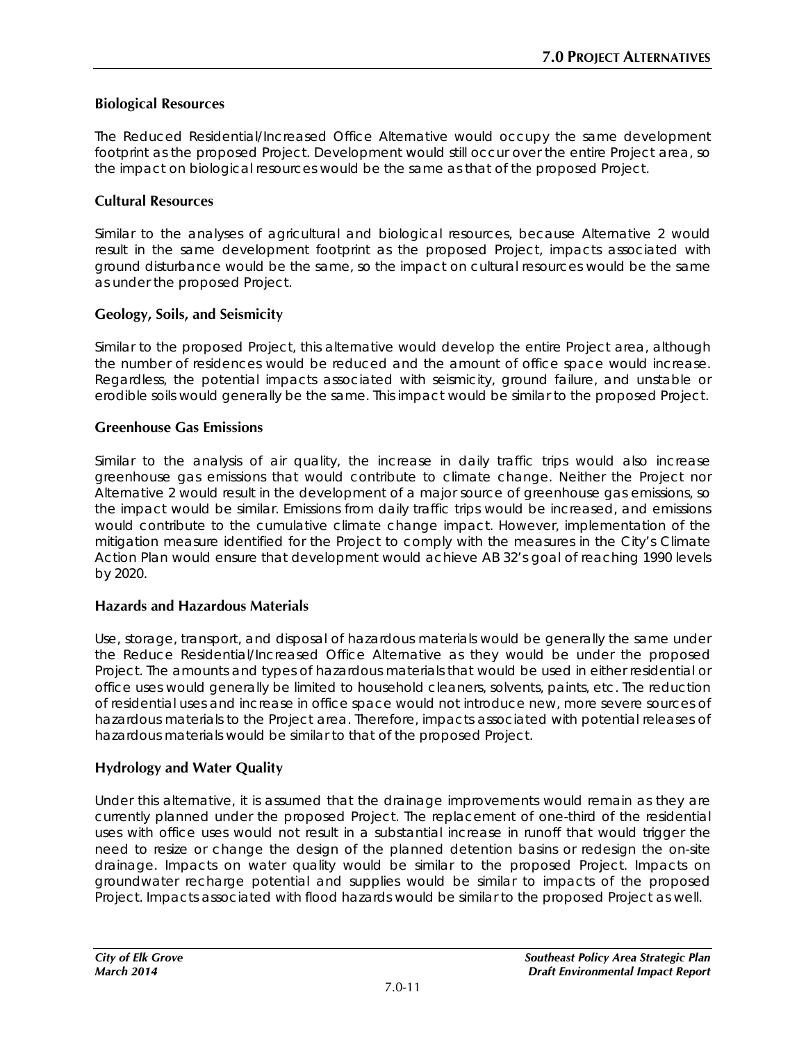### **Biological Resources**

The Reduced Residential/Increased Office Alternative would occupy the same development footprint as the proposed Project. Development would still occur over the entire Project area, so the impact on biological resources would be the same as that of the proposed Project.

#### **Cultural Resources**

Similar to the analyses of agricultural and biological resources, because Alternative 2 would result in the same development footprint as the proposed Project, impacts associated with ground disturbance would be the same, so the impact on cultural resources would be the same as under the proposed Project.

#### **Geology, Soils, and Seismicity**

Similar to the proposed Project, this alternative would develop the entire Project area, although the number of residences would be reduced and the amount of office space would increase. Regardless, the potential impacts associated with seismicity, ground failure, and unstable or erodible soils would generally be the same. This impact would be similar to the proposed Project.

#### **Greenhouse Gas Emissions**

Similar to the analysis of air quality, the increase in daily traffic trips would also increase greenhouse gas emissions that would contribute to climate change. Neither the Project nor Alternative 2 would result in the development of a major source of greenhouse gas emissions, so the impact would be similar. Emissions from daily traffic trips would be increased, and emissions would contribute to the cumulative climate change impact. However, implementation of the mitigation measure identified for the Project to comply with the measures in the City's Climate Action Plan would ensure that development would achieve AB 32's goal of reaching 1990 levels by 2020.

#### **Hazards and Hazardous Materials**

Use, storage, transport, and disposal of hazardous materials would be generally the same under the Reduce Residential/Increased Office Alternative as they would be under the proposed Project. The amounts and types of hazardous materials that would be used in either residential or office uses would generally be limited to household cleaners, solvents, paints, etc. The reduction of residential uses and increase in office space would not introduce new, more severe sources of hazardous materials to the Project area. Therefore, impacts associated with potential releases of hazardous materials would be similar to that of the proposed Project.

#### **Hydrology and Water Quality**

Under this alternative, it is assumed that the drainage improvements would remain as they are currently planned under the proposed Project. The replacement of one-third of the residential uses with office uses would not result in a substantial increase in runoff that would trigger the need to resize or change the design of the planned detention basins or redesign the on-site drainage. Impacts on water quality would be similar to the proposed Project. Impacts on groundwater recharge potential and supplies would be similar to impacts of the proposed Project. Impacts associated with flood hazards would be similar to the proposed Project as well.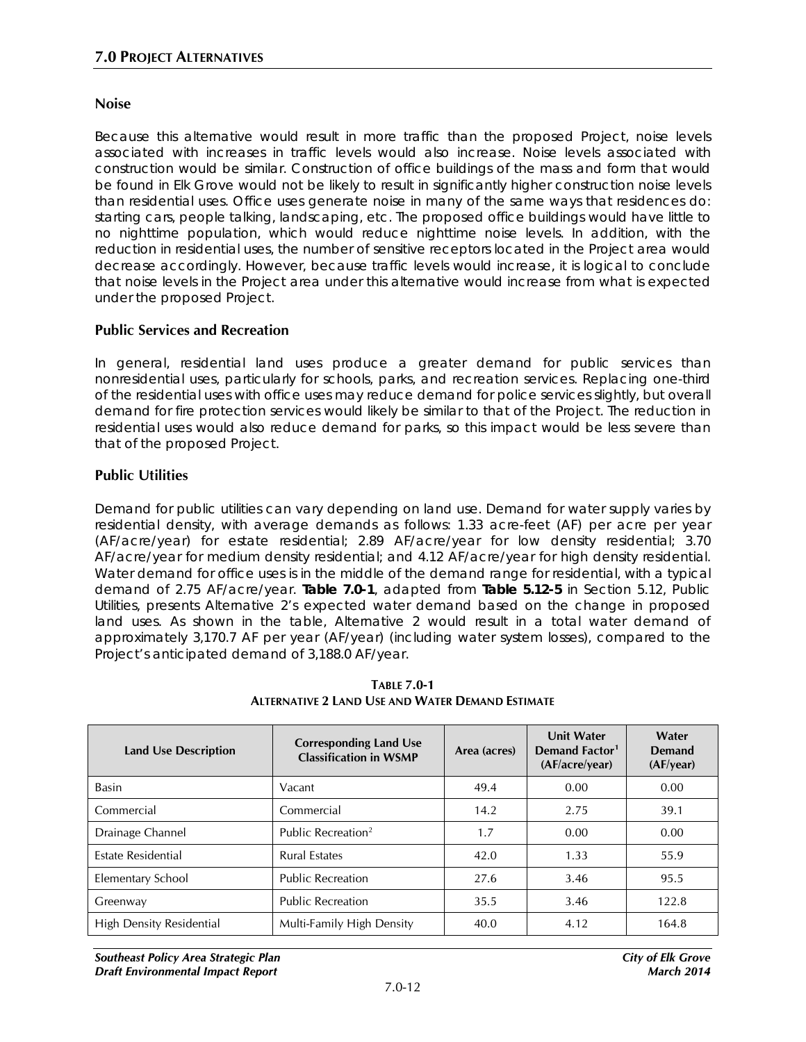#### **Noise**

Because this alternative would result in more traffic than the proposed Project, noise levels associated with increases in traffic levels would also increase. Noise levels associated with construction would be similar. Construction of office buildings of the mass and form that would be found in Elk Grove would not be likely to result in significantly higher construction noise levels than residential uses. Office uses generate noise in many of the same ways that residences do: starting cars, people talking, landscaping, etc. The proposed office buildings would have little to no nighttime population, which would reduce nighttime noise levels. In addition, with the reduction in residential uses, the number of sensitive receptors located in the Project area would decrease accordingly. However, because traffic levels would increase, it is logical to conclude that noise levels in the Project area under this alternative would increase from what is expected under the proposed Project.

#### **Public Services and Recreation**

In general, residential land uses produce a greater demand for public services than nonresidential uses, particularly for schools, parks, and recreation services. Replacing one-third of the residential uses with office uses may reduce demand for police services slightly, but overall demand for fire protection services would likely be similar to that of the Project. The reduction in residential uses would also reduce demand for parks, so this impact would be less severe than that of the proposed Project.

#### **Public Utilities**

Demand for public utilities can vary depending on land use. Demand for water supply varies by residential density, with average demands as follows: 1.33 acre-feet (AF) per acre per year (AF/acre/year) for estate residential; 2.89 AF/acre/year for low density residential; 3.70 AF/acre/year for medium density residential; and 4.12 AF/acre/year for high density residential. Water demand for office uses is in the middle of the demand range for residential, with a typical demand of 2.75 AF/acre/year. **Table 7.0-1**, adapted from **Table 5.12-5** in Section 5.12, Public Utilities, presents Alternative 2's expected water demand based on the change in proposed land uses. As shown in the table, Alternative 2 would result in a total water demand of approximately 3,170.7 AF per year (AF/year) (including water system losses), compared to the Project's anticipated demand of 3,188.0 AF/year.

| <b>Land Use Description</b> | <b>Corresponding Land Use</b><br><b>Classification in WSMP</b> | Area (acres) | <b>Unit Water</b><br>Demand Factor <sup>1</sup><br>(AF/acre/year) | Water<br>Demand<br>(AF/year) |
|-----------------------------|----------------------------------------------------------------|--------------|-------------------------------------------------------------------|------------------------------|
| <b>Basin</b>                | Vacant                                                         | 49.4         | 0.00                                                              | 0.00                         |
| Commercial                  | Commercial                                                     | 14.2         | 2.75                                                              | 39.1                         |
| Drainage Channel            | Public Recreation <sup>2</sup>                                 | 1.7          | 0.00                                                              | 0.00                         |
| Estate Residential          | <b>Rural Estates</b>                                           | 42.0         | 1.33                                                              | 55.9                         |
| Elementary School           | <b>Public Recreation</b>                                       | 27.6         | 3.46                                                              | 95.5                         |
| Greenway                    | <b>Public Recreation</b>                                       | 35.5         | 3.46                                                              | 122.8                        |
| High Density Residential    | Multi-Family High Density                                      | 40.0         | 4.12                                                              | 164.8                        |

**TABLE 7.0-1 ALTERNATIVE 2 LAND USE AND WATER DEMAND ESTIMATE**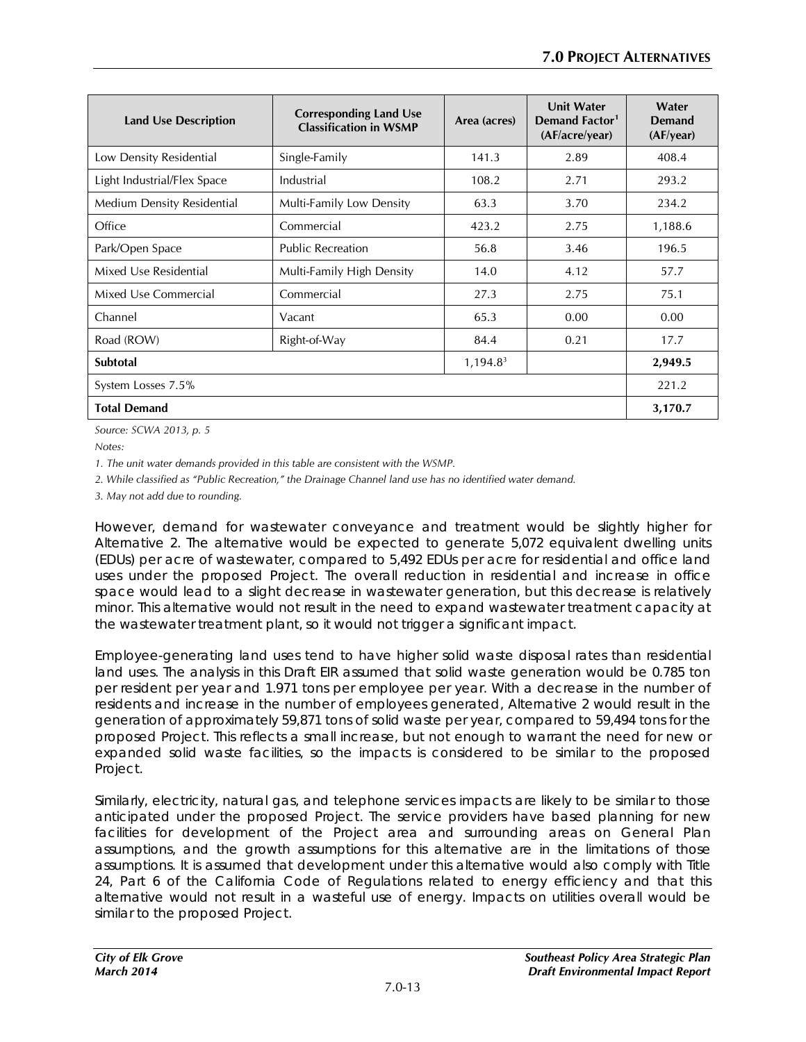| <b>Land Use Description</b> | <b>Corresponding Land Use</b><br><b>Classification in WSMP</b> | Area (acres) | <b>Unit Water</b><br>Demand Factor <sup>1</sup><br>(AF/acre/year) | Water<br>Demand<br>(AF/year) |
|-----------------------------|----------------------------------------------------------------|--------------|-------------------------------------------------------------------|------------------------------|
| Low Density Residential     | Single-Family                                                  | 141.3        | 2.89                                                              | 408.4                        |
| Light Industrial/Flex Space | Industrial                                                     | 108.2        | 2.71                                                              | 293.2                        |
| Medium Density Residential  | Multi-Family Low Density                                       | 63.3         | 3.70                                                              | 234.2                        |
| Office                      | Commercial                                                     | 423.2        | 2.75                                                              | 1,188.6                      |
| Park/Open Space             | <b>Public Recreation</b>                                       | 56.8         | 3.46                                                              | 196.5                        |
| Mixed Use Residential       | Multi-Family High Density                                      | 14.0         | 4.12                                                              | 57.7                         |
| Mixed Use Commercial        | Commercial                                                     | 27.3         | 2.75                                                              | 75.1                         |
| Channel                     | Vacant                                                         | 65.3         | 0.00                                                              | 0.00                         |
| Road (ROW)                  | Right-of-Way                                                   | 84.4         | 0.21                                                              | 17.7                         |
| Subtotal<br>$1,194.8^3$     |                                                                |              | 2,949.5                                                           |                              |
| System Losses 7.5%          |                                                                |              |                                                                   | 221.2                        |
| <b>Total Demand</b>         |                                                                |              |                                                                   | 3,170.7                      |

*Source: SCWA 2013, p. 5*

*Notes:*

*1. The unit water demands provided in this table are consistent with the WSMP.*

*2. While classified as "Public Recreation," the Drainage Channel land use has no identified water demand.*

*3. May not add due to rounding.* 

However, demand for wastewater conveyance and treatment would be slightly higher for Alternative 2. The alternative would be expected to generate 5,072 equivalent dwelling units (EDUs) per acre of wastewater, compared to 5,492 EDUs per acre for residential and office land uses under the proposed Project. The overall reduction in residential and increase in office space would lead to a slight decrease in wastewater generation, but this decrease is relatively minor. This alternative would not result in the need to expand wastewater treatment capacity at the wastewater treatment plant, so it would not trigger a significant impact.

Employee-generating land uses tend to have higher solid waste disposal rates than residential land uses. The analysis in this Draft EIR assumed that solid waste generation would be 0.785 ton per resident per year and 1.971 tons per employee per year. With a decrease in the number of residents and increase in the number of employees generated, Alternative 2 would result in the generation of approximately 59,871 tons of solid waste per year, compared to 59,494 tons for the proposed Project. This reflects a small increase, but not enough to warrant the need for new or expanded solid waste facilities, so the impacts is considered to be similar to the proposed Project.

Similarly, electricity, natural gas, and telephone services impacts are likely to be similar to those anticipated under the proposed Project. The service providers have based planning for new facilities for development of the Project area and surrounding areas on General Plan assumptions, and the growth assumptions for this alternative are in the limitations of those assumptions. It is assumed that development under this alternative would also comply with Title 24, Part 6 of the California Code of Regulations related to energy efficiency and that this alternative would not result in a wasteful use of energy. Impacts on utilities overall would be similar to the proposed Project.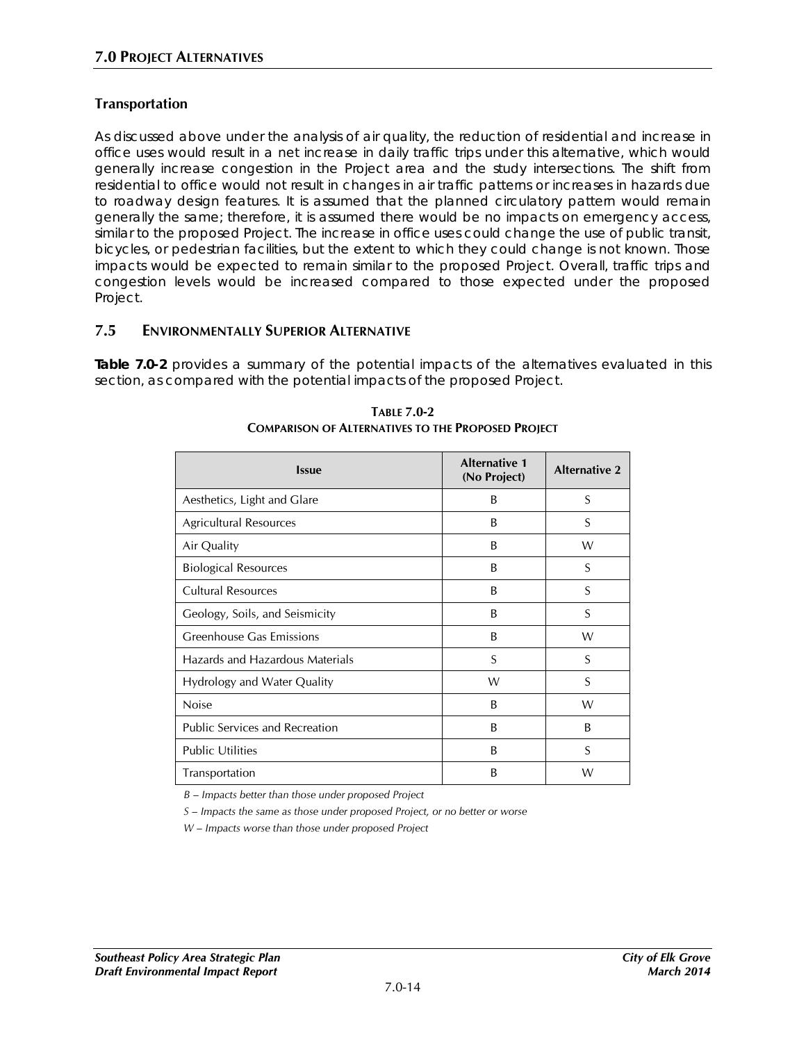### **Transportation**

As discussed above under the analysis of air quality, the reduction of residential and increase in office uses would result in a net increase in daily traffic trips under this alternative, which would generally increase congestion in the Project area and the study intersections. The shift from residential to office would not result in changes in air traffic patterns or increases in hazards due to roadway design features. It is assumed that the planned circulatory pattern would remain generally the same; therefore, it is assumed there would be no impacts on emergency access, similar to the proposed Project. The increase in office uses could change the use of public transit, bicycles, or pedestrian facilities, but the extent to which they could change is not known. Those impacts would be expected to remain similar to the proposed Project. Overall, traffic trips and congestion levels would be increased compared to those expected under the proposed Project.

### **7.5 ENVIRONMENTALLY SUPERIOR ALTERNATIVE**

**Table 7.0-2** provides a summary of the potential impacts of the alternatives evaluated in this section, as compared with the potential impacts of the proposed Project.

| <b>Issue</b>                          | <b>Alternative 1</b><br>(No Project) | <b>Alternative 2</b> |
|---------------------------------------|--------------------------------------|----------------------|
| Aesthetics, Light and Glare           | B                                    | S                    |
| Agricultural Resources                | B                                    | S                    |
| Air Quality                           | B                                    | W                    |
| <b>Biological Resources</b>           | B                                    | S                    |
| <b>Cultural Resources</b>             | B                                    | S                    |
| Geology, Soils, and Seismicity        | B                                    | S                    |
| Greenhouse Gas Emissions              | B                                    | W                    |
| Hazards and Hazardous Materials       | S                                    | S                    |
| Hydrology and Water Quality           | W                                    | S                    |
| Noise                                 | <sub>B</sub>                         | W                    |
| <b>Public Services and Recreation</b> | B                                    | B                    |
| <b>Public Utilities</b>               | B                                    | S                    |
| Transportation                        | B                                    | W                    |

**TABLE 7.0-2 COMPARISON OF ALTERNATIVES TO THE PROPOSED PROJECT**

*B – Impacts better than those under proposed Project*

*S – Impacts the same as those under proposed Project, or no better or worse*

*W – Impacts worse than those under proposed Project*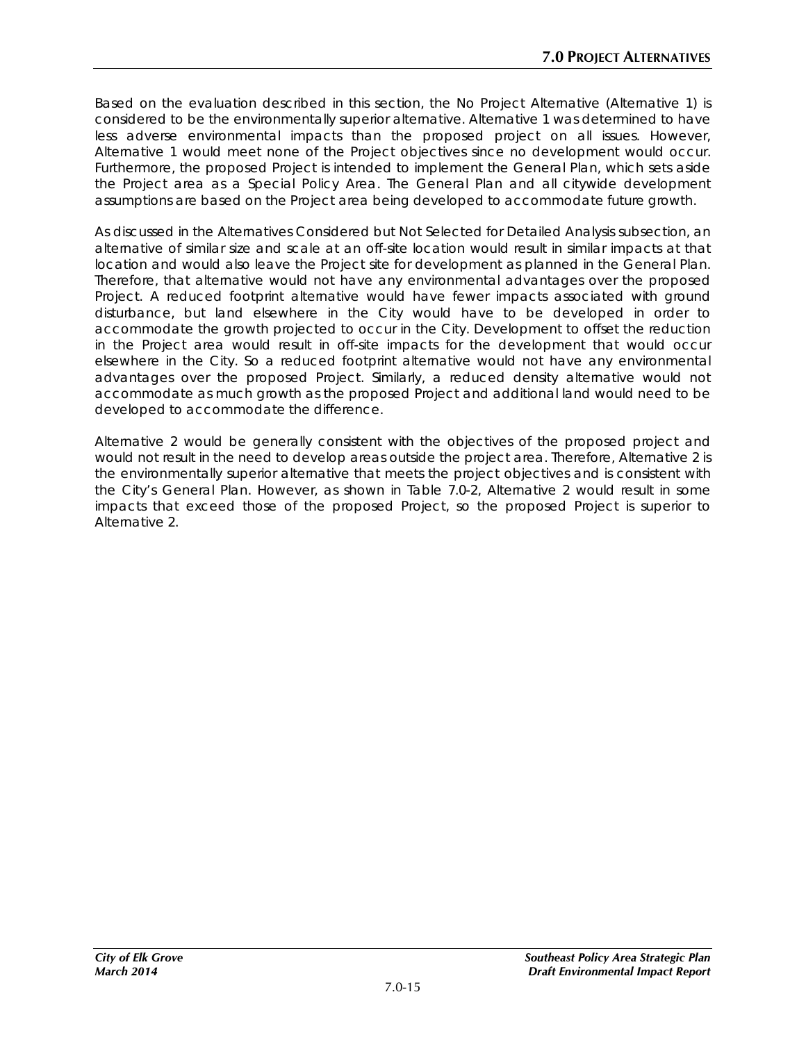Based on the evaluation described in this section, the No Project Alternative (Alternative 1) is considered to be the environmentally superior alternative. Alternative 1 was determined to have less adverse environmental impacts than the proposed project on all issues. However, Alternative 1 would meet none of the Project objectives since no development would occur. Furthermore, the proposed Project is intended to implement the General Plan, which sets aside the Project area as a Special Policy Area. The General Plan and all citywide development assumptions are based on the Project area being developed to accommodate future growth.

As discussed in the Alternatives Considered but Not Selected for Detailed Analysis subsection, an alternative of similar size and scale at an off-site location would result in similar impacts at that location and would also leave the Project site for development as planned in the General Plan. Therefore, that alternative would not have any environmental advantages over the proposed Project. A reduced footprint alternative would have fewer impacts associated with ground disturbance, but land elsewhere in the City would have to be developed in order to accommodate the growth projected to occur in the City. Development to offset the reduction in the Project area would result in off-site impacts for the development that would occur elsewhere in the City. So a reduced footprint alternative would not have any environmental advantages over the proposed Project. Similarly, a reduced density alternative would not accommodate as much growth as the proposed Project and additional land would need to be developed to accommodate the difference.

Alternative 2 would be generally consistent with the objectives of the proposed project and would not result in the need to develop areas outside the project area. Therefore, Alternative 2 is the environmentally superior alternative that meets the project objectives and is consistent with the City's General Plan. However, as shown in Table 7.0-2, Alternative 2 would result in some impacts that exceed those of the proposed Project, so the proposed Project is superior to Alternative 2.